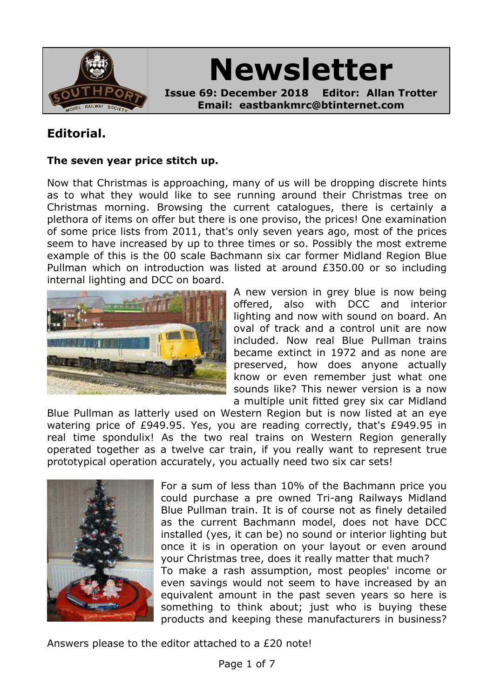

# **Newsletter**

**Issue 69: December 2018 Editor: Allan Trotter Email: eastbankmrc@btinternet.com**

## **Editorial.**

#### **The seven year price stitch up.**

Now that Christmas is approaching, many of us will be dropping discrete hints as to what they would like to see running around their Christmas tree on Christmas morning. Browsing the current catalogues, there is certainly a plethora of items on offer but there is one proviso, the prices! One examination of some price lists from 2011, that's only seven years ago, most of the prices seem to have increased by up to three times or so. Possibly the most extreme example of this is the 00 scale Bachmann six car former Midland Region Blue Pullman which on introduction was listed at around £350.00 or so including internal lighting and DCC on board.



A new version in grey blue is now being offered, also with DCC and interior lighting and now with sound on board. An oval of track and a control unit are now included. Now real Blue Pullman trains became extinct in 1972 and as none are preserved, how does anyone actually know or even remember just what one sounds like? This newer version is a now a multiple unit fitted grey six car Midland

Blue Pullman as latterly used on Western Region but is now listed at an eye watering price of £949.95. Yes, you are reading correctly, that's £949.95 in real time spondulix! As the two real trains on Western Region generally operated together as a twelve car train, if you really want to represent true prototypical operation accurately, you actually need two six car sets!



For a sum of less than 10% of the Bachmann price you could purchase a pre owned Tri-ang Railways Midland Blue Pullman train. It is of course not as finely detailed as the current Bachmann model, does not have DCC installed (yes, it can be) no sound or interior lighting but once it is in operation on your layout or even around your Christmas tree, does it really matter that much? To make a rash assumption, most peoples' income or even savings would not seem to have increased by an equivalent amount in the past seven years so here is something to think about; just who is buying these products and keeping these manufacturers in business?

Answers please to the editor attached to a £20 note!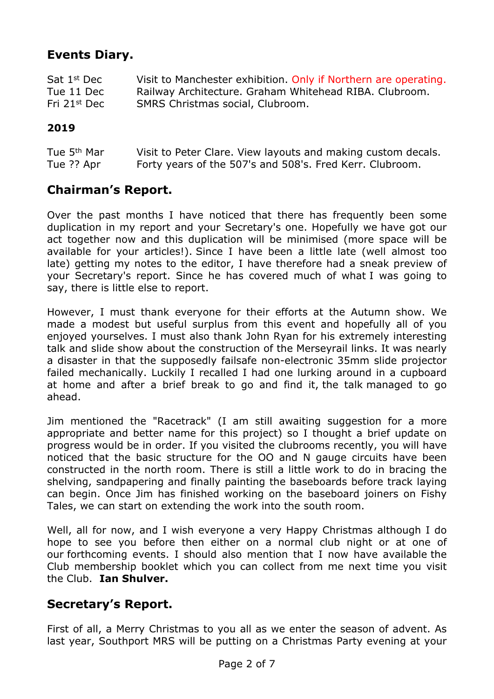## **Events Diary.**

| Sat 1 <sup>st</sup> Dec  | Visit to Manchester exhibition. Only if Northern are operating. |
|--------------------------|-----------------------------------------------------------------|
| Tue 11 Dec               | Railway Architecture. Graham Whitehead RIBA. Clubroom.          |
| Fri 21 <sup>st</sup> Dec | SMRS Christmas social, Clubroom.                                |

#### **2019**

| Tue 5 <sup>th</sup> Mar | Visit to Peter Clare. View layouts and making custom decals. |
|-------------------------|--------------------------------------------------------------|
| Tue ?? Apr              | Forty years of the 507's and 508's. Fred Kerr. Clubroom.     |

### **Chairman's Report.**

Over the past months I have noticed that there has frequently been some duplication in my report and your Secretary's one. Hopefully we have got our act together now and this duplication will be minimised (more space will be available for your articles!). Since I have been a little late (well almost too late) getting my notes to the editor, I have therefore had a sneak preview of your Secretary's report. Since he has covered much of what I was going to say, there is little else to report.

However, I must thank everyone for their efforts at the Autumn show. We made a modest but useful surplus from this event and hopefully all of you enjoyed yourselves. I must also thank John Ryan for his extremely interesting talk and slide show about the construction of the Merseyrail links. It was nearly a disaster in that the supposedly failsafe non-electronic 35mm slide projector failed mechanically. Luckily I recalled I had one lurking around in a cupboard at home and after a brief break to go and find it, the talk managed to go ahead.

Jim mentioned the "Racetrack" (I am still awaiting suggestion for a more appropriate and better name for this project) so I thought a brief update on progress would be in order. If you visited the clubrooms recently, you will have noticed that the basic structure for the OO and N gauge circuits have been constructed in the north room. There is still a little work to do in bracing the shelving, sandpapering and finally painting the baseboards before track laying can begin. Once Jim has finished working on the baseboard joiners on Fishy Tales, we can start on extending the work into the south room.

Well, all for now, and I wish everyone a very Happy Christmas although I do hope to see you before then either on a normal club night or at one of our forthcoming events. I should also mention that I now have available the Club membership booklet which you can collect from me next time you visit the Club. **Ian Shulver.**

## **Secretary's Report.**

First of all, a Merry Christmas to you all as we enter the season of advent. As last year, Southport MRS will be putting on a Christmas Party evening at your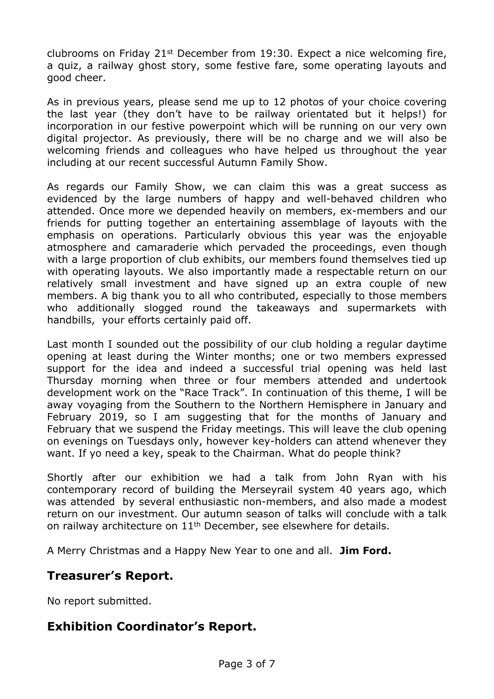clubrooms on Friday 21st December from 19:30. Expect a nice welcoming fire, a quiz, a railway ghost story, some festive fare, some operating layouts and good cheer.

As in previous years, please send me up to 12 photos of your choice covering the last year (they don't have to be railway orientated but it helps!) for incorporation in our festive powerpoint which will be running on our very own digital projector. As previously, there will be no charge and we will also be welcoming friends and colleagues who have helped us throughout the year including at our recent successful Autumn Family Show.

As regards our Family Show, we can claim this was a great success as evidenced by the large numbers of happy and well-behaved children who attended. Once more we depended heavily on members, ex-members and our friends for putting together an entertaining assemblage of layouts with the emphasis on operations. Particularly obvious this year was the enjoyable atmosphere and camaraderie which pervaded the proceedings, even though with a large proportion of club exhibits, our members found themselves tied up with operating layouts. We also importantly made a respectable return on our relatively small investment and have signed up an extra couple of new members. A big thank you to all who contributed, especially to those members who additionally slogged round the takeaways and supermarkets with handbills, your efforts certainly paid off.

Last month I sounded out the possibility of our club holding a regular daytime opening at least during the Winter months; one or two members expressed support for the idea and indeed a successful trial opening was held last Thursday morning when three or four members attended and undertook development work on the "Race Track". In continuation of this theme, I will be away voyaging from the Southern to the Northern Hemisphere in January and February 2019, so I am suggesting that for the months of January and February that we suspend the Friday meetings. This will leave the club opening on evenings on Tuesdays only, however key-holders can attend whenever they want. If yo need a key, speak to the Chairman. What do people think?

Shortly after our exhibition we had a talk from John Ryan with his contemporary record of building the Merseyrail system 40 years ago, which was attended by several enthusiastic non-members, and also made a modest return on our investment. Our autumn season of talks will conclude with a talk on railway architecture on 11<sup>th</sup> December, see elsewhere for details.

A Merry Christmas and a Happy New Year to one and all. **Jim Ford.**

## **Treasurer's Report.**

No report submitted.

## **Exhibition Coordinator's Report.**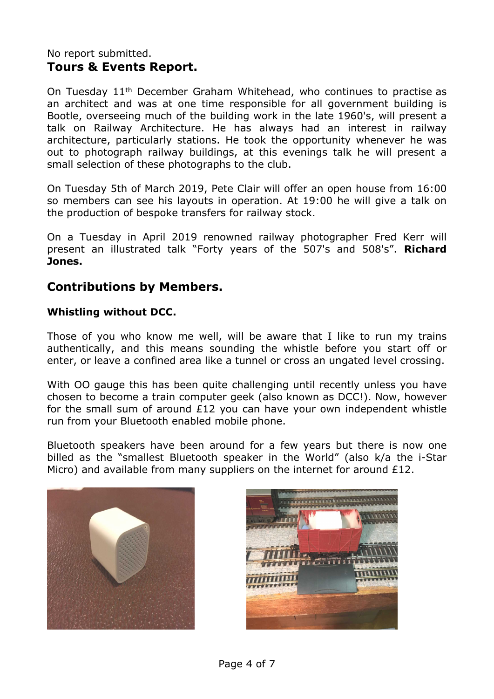#### No report submitted. **Tours & Events Report.**

On Tuesday 11<sup>th</sup> December Graham Whitehead, who continues to practise as an architect and was at one time responsible for all government building is Bootle, overseeing much of the building work in the late 1960's, will present a talk on Railway Architecture. He has always had an interest in railway architecture, particularly stations. He took the opportunity whenever he was out to photograph railway buildings, at this evenings talk he will present a small selection of these photographs to the club.

On Tuesday 5th of March 2019, Pete Clair will offer an open house from 16:00 so members can see his layouts in operation. At 19:00 he will give a talk on the production of bespoke transfers for railway stock.

On a Tuesday in April 2019 renowned railway photographer Fred Kerr will present an illustrated talk "Forty years of the 507's and 508's". **Richard Jones.**

## **Contributions by Members.**

#### **Whistling without DCC.**

Those of you who know me well, will be aware that I like to run my trains authentically, and this means sounding the whistle before you start off or enter, or leave a confined area like a tunnel or cross an ungated level crossing.

With OO gauge this has been quite challenging until recently unless you have chosen to become a train computer geek (also known as DCC!). Now, however for the small sum of around £12 you can have your own independent whistle run from your Bluetooth enabled mobile phone.

Bluetooth speakers have been around for a few years but there is now one billed as the "smallest Bluetooth speaker in the World" (also k/a the i-Star Micro) and available from many suppliers on the internet for around £12.



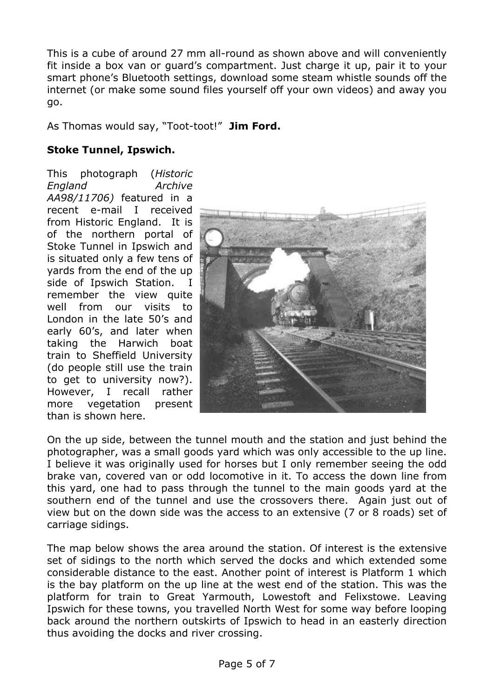This is a cube of around 27 mm all-round as shown above and will conveniently fit inside a box van or guard's compartment. Just charge it up, pair it to your smart phone's Bluetooth settings, download some steam whistle sounds off the internet (or make some sound files yourself off your own videos) and away you go.

As Thomas would say, "Toot-toot!" **Jim Ford.**

#### **Stoke Tunnel, Ipswich.**

This photograph (*Historic England Archive AA98/11706)* featured in a recent e-mail I received from Historic England. It is of the northern portal of Stoke Tunnel in Ipswich and is situated only a few tens of yards from the end of the up side of Ipswich Station. I remember the view quite well from our visits to London in the late 50's and early 60's, and later when taking the Harwich boat train to Sheffield University (do people still use the train to get to university now?). However, I recall rather more vegetation present than is shown here.



On the up side, between the tunnel mouth and the station and just behind the photographer, was a small goods yard which was only accessible to the up line. I believe it was originally used for horses but I only remember seeing the odd brake van, covered van or odd locomotive in it. To access the down line from this yard, one had to pass through the tunnel to the main goods yard at the southern end of the tunnel and use the crossovers there. Again just out of view but on the down side was the access to an extensive (7 or 8 roads) set of carriage sidings.

The map below shows the area around the station. Of interest is the extensive set of sidings to the north which served the docks and which extended some considerable distance to the east. Another point of interest is Platform 1 which is the bay platform on the up line at the west end of the station. This was the platform for train to Great Yarmouth, Lowestoft and Felixstowe. Leaving Ipswich for these towns, you travelled North West for some way before looping back around the northern outskirts of Ipswich to head in an easterly direction thus avoiding the docks and river crossing.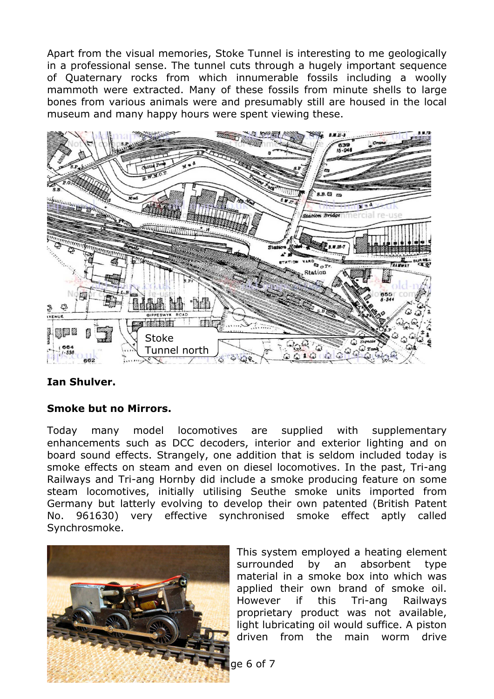Apart from the visual memories, Stoke Tunnel is interesting to me geologically in a professional sense. The tunnel cuts through a hugely important sequence of Quaternary rocks from which innumerable fossils including a woolly mammoth were extracted. Many of these fossils from minute shells to large bones from various animals were and presumably still are housed in the local museum and many happy hours were spent viewing these.



#### **Ian Shulver.**

#### **Smoke but no Mirrors.**

Today many model locomotives are supplied with supplementary enhancements such as DCC decoders, interior and exterior lighting and on board sound effects. Strangely, one addition that is seldom included today is smoke effects on steam and even on diesel locomotives. In the past, Tri-ang Railways and Tri-ang Hornby did include a smoke producing feature on some steam locomotives, initially utilising Seuthe smoke units imported from Germany but latterly evolving to develop their own patented (British Patent No. 961630) very effective synchronised smoke effect aptly called Synchrosmoke.



This system employed a heating element surrounded by an absorbent type material in a smoke box into which was applied their own brand of smoke oil. However if this Tri-ang Railways proprietary product was not available, light lubricating oil would suffice. A piston driven from the main worm drive